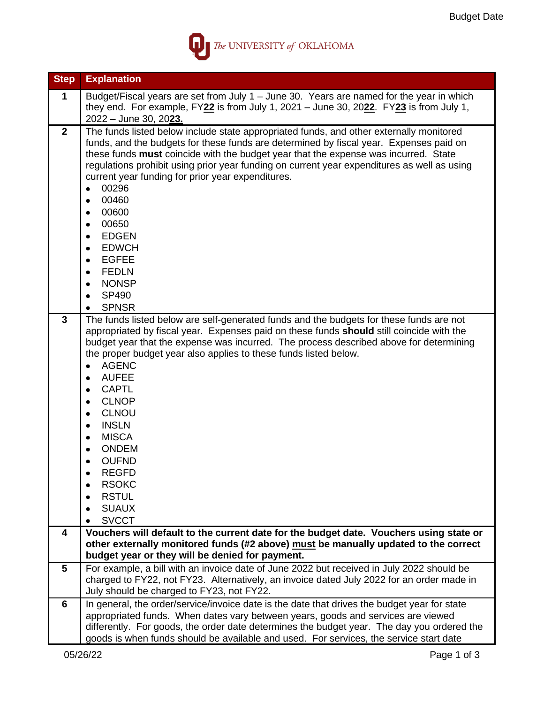

| <b>Step</b>             | <b>Explanation</b>                                                                                                                                                                                                                                                                                                                                                                                                                                                                                                                                                                                                                                                     |
|-------------------------|------------------------------------------------------------------------------------------------------------------------------------------------------------------------------------------------------------------------------------------------------------------------------------------------------------------------------------------------------------------------------------------------------------------------------------------------------------------------------------------------------------------------------------------------------------------------------------------------------------------------------------------------------------------------|
| 1                       | Budget/Fiscal years are set from July 1 - June 30. Years are named for the year in which<br>they end. For example, $FY22$ is from July 1, 2021 – June 30, 2022. $FY23$ is from July 1,                                                                                                                                                                                                                                                                                                                                                                                                                                                                                 |
|                         | 2022 - June 30, 2023.                                                                                                                                                                                                                                                                                                                                                                                                                                                                                                                                                                                                                                                  |
| $\overline{2}$          | The funds listed below include state appropriated funds, and other externally monitored<br>funds, and the budgets for these funds are determined by fiscal year. Expenses paid on<br>these funds must coincide with the budget year that the expense was incurred. State<br>regulations prohibit using prior year funding on current year expenditures as well as using<br>current year funding for prior year expenditures.<br>00296<br>$\bullet$<br>00460<br>$\bullet$<br>00600<br>$\bullet$<br>00650<br>٠<br><b>EDGEN</b><br>٠<br><b>EDWCH</b><br>٠<br><b>EGFEE</b><br>$\bullet$<br><b>FEDLN</b><br><b>NONSP</b><br>$\bullet$<br>SP490<br><b>SPNSR</b><br>$\bullet$ |
| 3                       | The funds listed below are self-generated funds and the budgets for these funds are not<br>appropriated by fiscal year. Expenses paid on these funds should still coincide with the<br>budget year that the expense was incurred. The process described above for determining<br>the proper budget year also applies to these funds listed below.<br><b>AGENC</b><br>$\bullet$<br><b>AUFEE</b><br>$\bullet$<br><b>CAPTL</b><br>٠<br><b>CLNOP</b><br>$\bullet$<br><b>CLNOU</b><br>٠<br><b>INSLN</b><br>٠<br><b>MISCA</b><br><b>ONDEM</b><br><b>OUFND</b><br><b>REGFD</b><br><b>RSOKC</b><br><b>RSTUL</b><br><b>SUAUX</b><br><b>SVCCT</b><br>٠                           |
| $\overline{\mathbf{4}}$ | Vouchers will default to the current date for the budget date. Vouchers using state or                                                                                                                                                                                                                                                                                                                                                                                                                                                                                                                                                                                 |
|                         | other externally monitored funds (#2 above) must be manually updated to the correct<br>budget year or they will be denied for payment.                                                                                                                                                                                                                                                                                                                                                                                                                                                                                                                                 |
| 5                       | For example, a bill with an invoice date of June 2022 but received in July 2022 should be                                                                                                                                                                                                                                                                                                                                                                                                                                                                                                                                                                              |
|                         | charged to FY22, not FY23. Alternatively, an invoice dated July 2022 for an order made in<br>July should be charged to FY23, not FY22.                                                                                                                                                                                                                                                                                                                                                                                                                                                                                                                                 |
| 6                       | In general, the order/service/invoice date is the date that drives the budget year for state                                                                                                                                                                                                                                                                                                                                                                                                                                                                                                                                                                           |
|                         | appropriated funds. When dates vary between years, goods and services are viewed<br>differently. For goods, the order date determines the budget year. The day you ordered the                                                                                                                                                                                                                                                                                                                                                                                                                                                                                         |
|                         | goods is when funds should be available and used. For services, the service start date                                                                                                                                                                                                                                                                                                                                                                                                                                                                                                                                                                                 |
|                         | 05/26/22<br>Page 1 of 3                                                                                                                                                                                                                                                                                                                                                                                                                                                                                                                                                                                                                                                |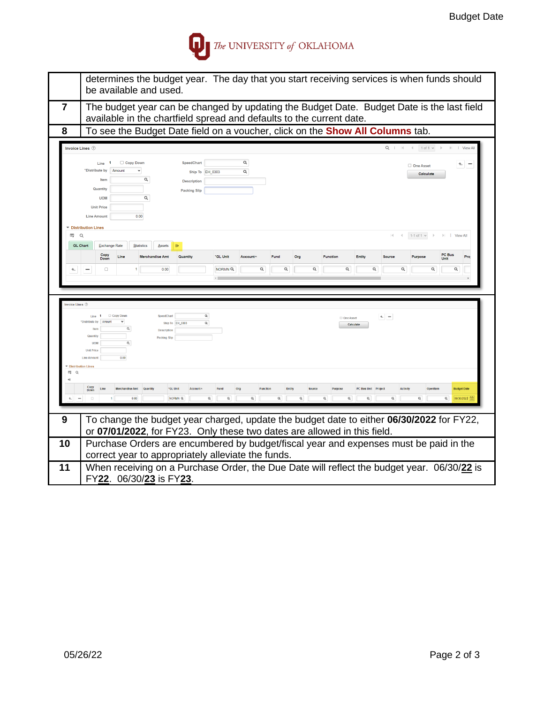

|                                               | determines the budget year. The day that you start receiving services is when funds should<br>be available and used.                                                                                                                                                                         |
|-----------------------------------------------|----------------------------------------------------------------------------------------------------------------------------------------------------------------------------------------------------------------------------------------------------------------------------------------------|
| $\overline{7}$                                | The budget year can be changed by updating the Budget Date. Budget Date is the last field<br>available in the chartfield spread and defaults to the current date.                                                                                                                            |
| 8                                             | To see the Budget Date field on a voucher, click on the <b>Show All Columns</b> tab.                                                                                                                                                                                                         |
|                                               | Invoice Lines 2<br>$Q \mid \mathbb{N} \mid \mathbb{N}$ 1 of 1 $\vee$<br>$  $   View All                                                                                                                                                                                                      |
|                                               | Q<br>Copy Down<br>SpeedChart<br>Line<br>$+$ $-$<br>One Asset<br>"Distribute by<br>Amount<br>$\alpha$<br>Ship To EH_0303<br>Calculate<br>Q<br>Item<br><b>Description</b><br>Quantity<br><b>Packing Slip</b><br>$\alpha$<br><b>UOM</b><br><b>Unit Price</b><br>0.00<br><b>Line Amount</b>      |
| E.                                            | ▼ Distribution Lines<br>$\alpha$<br>1-1 of 1 $\sim$<br>$  $ $  $ View All                                                                                                                                                                                                                    |
|                                               | <b>GL Chart</b><br><b>Exchange Rate</b><br><b>Statistics</b><br><b>Assets</b>                                                                                                                                                                                                                |
|                                               | PC Bus<br>Copy<br>Line<br>*GL Unit<br>Org<br><b>Function</b><br>Entity<br><b>Purpose</b><br>Pro<br><b>Merchandise Amt</b><br>Quantity<br>Account-<br>Fund<br>Source<br>Down<br>Unit                                                                                                          |
| t.,                                           | $\hbox{\tt Q}$<br>$\mathsf Q$<br>$\mathsf Q$<br>$\hbox{\footnotesize \alpha}$<br>Q<br>Q<br>$\hbox{\tt Q}$<br>NORMN <sup>Q</sup><br>Q<br>$\Box$<br>0.00<br>-                                                                                                                                  |
|                                               |                                                                                                                                                                                                                                                                                              |
| Invoice Lines 2<br>Distribution Lines<br>EF Q | $\alpha$<br>Copy Down<br>SpeedChart<br>Line<br>$+$ $-$<br>One Asset<br>'Distribute by<br>$\alpha$<br>Ship To EH 0303<br>Calculate<br>$\alpha$<br><b>Horr</b><br>Description<br>Quantity<br><b>Packing Slip</b><br><b>LION</b><br>$\alpha$<br><b>Unit Price</b><br>0.00<br><b>Line Amount</b> |
| 4II                                           |                                                                                                                                                                                                                                                                                              |
|                                               | Copy<br>Down<br>*GL Unit<br>Activity<br><b>Budget Date</b><br><b>Account</b><br>urpos<br>06/30/2022 (금<br>$\Box$<br>NORMN <sub>Q</sub><br>$\alpha$<br>$\alpha$<br>Q<br>$\alpha$<br>$\alpha$<br>$\alpha$<br>$\alpha$<br>$\alpha$<br>0.00                                                      |
| 9                                             | To change the budget year charged, update the budget date to either 06/30/2022 for FY22,<br>or 07/01/2022, for FY23. Only these two dates are allowed in this field.                                                                                                                         |
| 10                                            | Purchase Orders are encumbered by budget/fiscal year and expenses must be paid in the<br>correct year to appropriately alleviate the funds.                                                                                                                                                  |
| 11                                            | When receiving on a Purchase Order, the Due Date will reflect the budget year. 06/30/22 is<br>FY22. 06/30/23 is FY23.                                                                                                                                                                        |